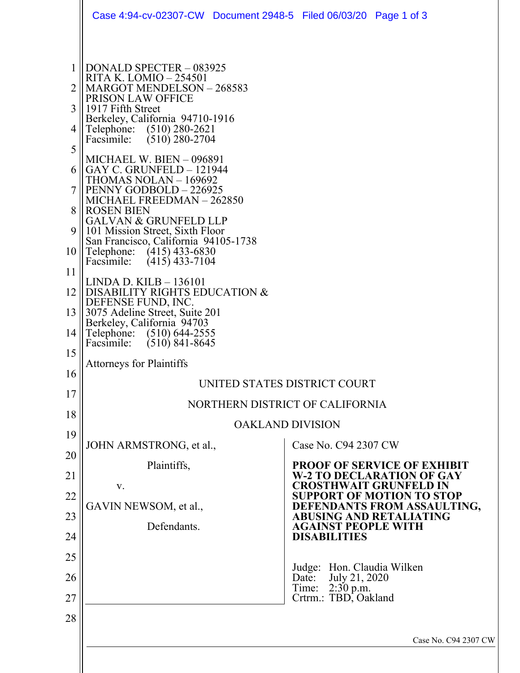|                                                                                            | Case 4:94-cv-02307-CW Document 2948-5 Filed 06/03/20 Page 1 of 3                                                                                                                                                                                                                                                                                                                                                                                                                                                                                                                                                                                                                                                                                                                                                                |                                                                 |                                                                                                                                                                                   |                                                                                                                                                                                                              |
|--------------------------------------------------------------------------------------------|---------------------------------------------------------------------------------------------------------------------------------------------------------------------------------------------------------------------------------------------------------------------------------------------------------------------------------------------------------------------------------------------------------------------------------------------------------------------------------------------------------------------------------------------------------------------------------------------------------------------------------------------------------------------------------------------------------------------------------------------------------------------------------------------------------------------------------|-----------------------------------------------------------------|-----------------------------------------------------------------------------------------------------------------------------------------------------------------------------------|--------------------------------------------------------------------------------------------------------------------------------------------------------------------------------------------------------------|
| 1<br>2<br>3<br>4<br>5<br>6<br>8<br>9<br>10<br>11<br>12<br>13<br>14<br>15<br>16<br>17<br>18 | DONALD SPECTER - 083925<br>RITA K. LOMIO – 254501<br>MARGOT MENDELSON - 268583<br>PRISON LAW OFFICE<br>1917 Fifth Street<br>Berkeley, California 94710-1916<br>Telephone: (510) 280-2621<br>Facsimile:<br>$(510)$ 280-2704<br><b>MICHAEL W. BIEN - 096891</b><br>GAY C. GRUNFELD $-121944$<br>THOMAS NOLAN – 169692<br>PENNY GODBOLD - 226925<br>MICHAEL FREEDMAN - 262850<br><b>ROSEN BIEN</b><br><b>GALVAN &amp; GRUNFELD LLP</b><br>101 Mission Street, Sixth Floor<br>San Francisco, California 94105-1738<br>Telephone: (415) 433-6830<br>Facsimile:<br>$(415)$ 433-7104<br>$LINDA$ D. $KILB - 136101$<br>DISABILITY RIGHTS EDUCATION &<br>DEFENSE FUND, INC.<br>3075 Adeline Street, Suite 201<br>Berkeley, California 94703<br>Telephone: (510) 644-2555<br>Facsimile: (510) 841-8645<br><b>Attorneys for Plaintiffs</b> | UNITED STATES DISTRICT COURT<br>NORTHERN DISTRICT OF CALIFORNIA |                                                                                                                                                                                   |                                                                                                                                                                                                              |
|                                                                                            |                                                                                                                                                                                                                                                                                                                                                                                                                                                                                                                                                                                                                                                                                                                                                                                                                                 | <b>OAKLAND DIVISION</b>                                         |                                                                                                                                                                                   |                                                                                                                                                                                                              |
| 19<br>20<br>21<br>22<br>23<br>24<br>25<br>26<br>27<br>28                                   | JOHN ARMSTRONG, et al.,<br>Plaintiffs,<br>V.<br>GAVIN NEWSOM, et al.,<br>Defendants.                                                                                                                                                                                                                                                                                                                                                                                                                                                                                                                                                                                                                                                                                                                                            |                                                                 | Case No. C94 2307 CW<br><b>AGAINST PEOPLE WITH</b><br><b>DISABILITIES</b><br>Judge: Hon. Claudia Wilken<br>July 21, 2020<br>Date:<br>$2:30$ p.m.<br>Time:<br>Crtrm.: TBD, Oakland | <b>PROOF OF SERVICE OF EXHIBIT</b><br><b>W-2 TO DECLARATION OF GAY</b><br><b>CROSTHWAIT GRUNFELD IN</b><br><b>SUPPORT OF MOTION TO STOP</b><br>DEFENDANTS FROM ASSAULTING,<br><b>ABUSING AND RETALIATING</b> |
|                                                                                            |                                                                                                                                                                                                                                                                                                                                                                                                                                                                                                                                                                                                                                                                                                                                                                                                                                 |                                                                 |                                                                                                                                                                                   | Case No. C94 2307 CW                                                                                                                                                                                         |
|                                                                                            |                                                                                                                                                                                                                                                                                                                                                                                                                                                                                                                                                                                                                                                                                                                                                                                                                                 |                                                                 |                                                                                                                                                                                   |                                                                                                                                                                                                              |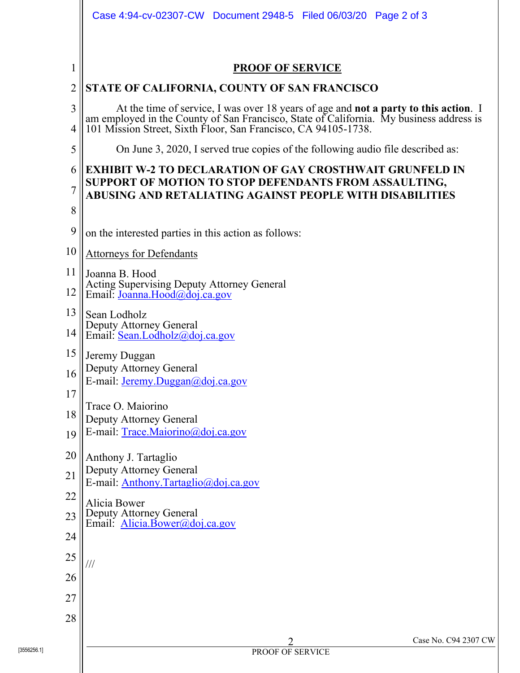|                | Case 4:94-cv-02307-CW Document 2948-5 Filed 06/03/20 Page 2 of 3                                                                                                                                                                     |
|----------------|--------------------------------------------------------------------------------------------------------------------------------------------------------------------------------------------------------------------------------------|
| 1              | <b>PROOF OF SERVICE</b>                                                                                                                                                                                                              |
| $\overline{c}$ | STATE OF CALIFORNIA, COUNTY OF SAN FRANCISCO                                                                                                                                                                                         |
| 3<br>4         | At the time of service, I was over 18 years of age and <b>not a party to this action</b> . I am employed in the County of San Francisco, State of California. My business address is 101 Mission Street, Sixth Floor, San Francisco, |
| 5              | On June 3, 2020, I served true copies of the following audio file described as:                                                                                                                                                      |
| 6              | <b>EXHIBIT W-2 TO DECLARATION OF GAY CROSTHWAIT GRUNFELD IN</b>                                                                                                                                                                      |
| 7              | SUPPORT OF MOTION TO STOP DEFENDANTS FROM ASSAULTING,<br>ABUSING AND RETALIATING AGAINST PEOPLE WITH DISABILITIES                                                                                                                    |
| 8              |                                                                                                                                                                                                                                      |
| 9              | on the interested parties in this action as follows:                                                                                                                                                                                 |
| 10             | <b>Attorneys for Defendants</b>                                                                                                                                                                                                      |
| 11             | Joanna B. Hood                                                                                                                                                                                                                       |
| 12             | Acting Supervising Deputy Attorney General<br>Email: Joanna.Hood@doj.ca.gov                                                                                                                                                          |
| 13             | Sean Lodholz                                                                                                                                                                                                                         |
| 14             | Deputy Attorney General<br>Email: Sean.Lodholz@doj.ca.gov                                                                                                                                                                            |
| 15             | Jeremy Duggan                                                                                                                                                                                                                        |
| 16             | Deputy Attorney General<br>E-mail: Jeremy.Duggan@doj.ca.gov                                                                                                                                                                          |
| 17             |                                                                                                                                                                                                                                      |
| 18             | Trace O. Maiorino<br>Deputy Attorney General                                                                                                                                                                                         |
| 19             | E-mail: Trace.Maiorino@doj.ca.gov                                                                                                                                                                                                    |
| 20             | Anthony J. Tartaglio                                                                                                                                                                                                                 |
| 21             | Deputy Attorney General<br>E-mail: Anthony.Tartaglio@doj.ca.gov                                                                                                                                                                      |
| 22             | Alicia Bower                                                                                                                                                                                                                         |
| 23             | Deputy Attorney General<br>Email: Alicia.Bower@doj.ca.gov                                                                                                                                                                            |
| 24             |                                                                                                                                                                                                                                      |
| 25             | $\frac{1}{1}$                                                                                                                                                                                                                        |
| 26             |                                                                                                                                                                                                                                      |
| 27             |                                                                                                                                                                                                                                      |
| 28             |                                                                                                                                                                                                                                      |
|                | Case No. C94 2307 CW<br>$\overline{2}$                                                                                                                                                                                               |
| 3556256.11     | PROOF OF SERVICE                                                                                                                                                                                                                     |